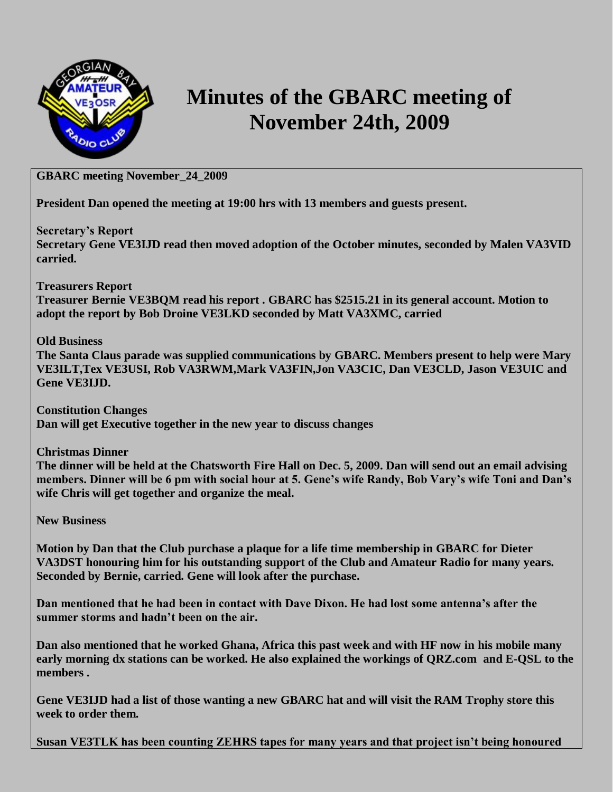

## **Minutes of the GBARC meeting of November 24th, 2009**

## **GBARC meeting November\_24\_2009**

**President Dan opened the meeting at 19:00 hrs with 13 members and guests present.**

**Secretary's Report**

**Secretary Gene VE3IJD read then moved adoption of the October minutes, seconded by Malen VA3VID carried.**

**Treasurers Report**

**Treasurer Bernie VE3BQM read his report . GBARC has \$2515.21 in its general account. Motion to adopt the report by Bob Droine VE3LKD seconded by Matt VA3XMC, carried**

**Old Business**

**The Santa Claus parade was supplied communications by GBARC. Members present to help were Mary VE3ILT,Tex VE3USI, Rob VA3RWM,Mark VA3FIN,Jon VA3CIC, Dan VE3CLD, Jason VE3UIC and Gene VE3IJD.**

**Constitution Changes Dan will get Executive together in the new year to discuss changes**

**Christmas Dinner**

**The dinner will be held at the Chatsworth Fire Hall on Dec. 5, 2009. Dan will send out an email advising members. Dinner will be 6 pm with social hour at 5. Gene's wife Randy, Bob Vary's wife Toni and Dan's wife Chris will get together and organize the meal.** 

**New Business**

**Motion by Dan that the Club purchase a plaque for a life time membership in GBARC for Dieter VA3DST honouring him for his outstanding support of the Club and Amateur Radio for many years. Seconded by Bernie, carried. Gene will look after the purchase.**

**Dan mentioned that he had been in contact with Dave Dixon. He had lost some antenna's after the summer storms and hadn't been on the air.**

**Dan also mentioned that he worked Ghana, Africa this past week and with HF now in his mobile many early morning dx stations can be worked. He also explained the workings of QRZ.com and E-QSL to the members .**

**Gene VE3IJD had a list of those wanting a new GBARC hat and will visit the RAM Trophy store this week to order them.**

**Susan VE3TLK has been counting ZEHRS tapes for many years and that project isn't being honoured**